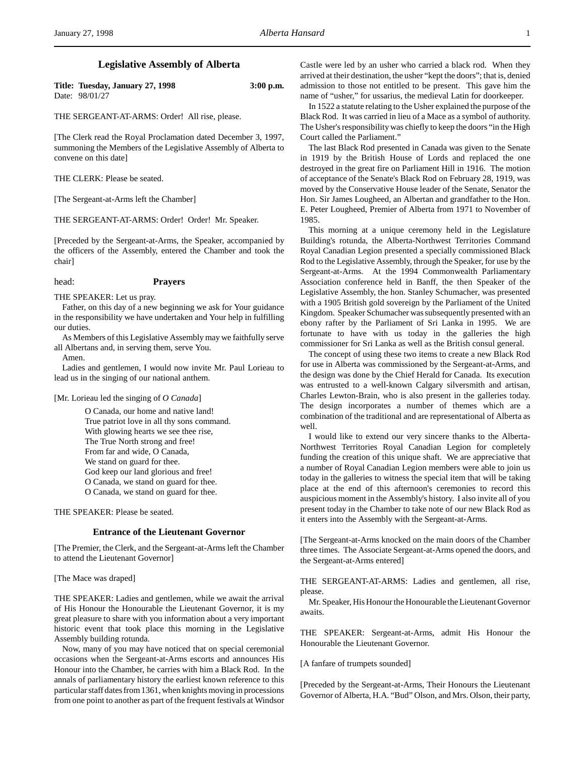## **Legislative Assembly of Alberta**

| Title: Tuesday, January 27, 1998 | $3:00$ p.m. |
|----------------------------------|-------------|
| Date: 98/01/27                   |             |

THE SERGEANT-AT-ARMS: Order! All rise, please.

[The Clerk read the Royal Proclamation dated December 3, 1997, summoning the Members of the Legislative Assembly of Alberta to convene on this date]

THE CLERK: Please be seated.

[The Sergeant-at-Arms left the Chamber]

THE SERGEANT-AT-ARMS: Order! Order! Mr. Speaker.

[Preceded by the Sergeant-at-Arms, the Speaker, accompanied by the officers of the Assembly, entered the Chamber and took the chair]

# head: **Prayers**

THE SPEAKER: Let us pray.

Father, on this day of a new beginning we ask for Your guidance in the responsibility we have undertaken and Your help in fulfilling our duties.

As Members of this Legislative Assembly may we faithfully serve all Albertans and, in serving them, serve You.

Amen.

Ladies and gentlemen, I would now invite Mr. Paul Lorieau to lead us in the singing of our national anthem.

[Mr. Lorieau led the singing of *O Canada*]

O Canada, our home and native land! True patriot love in all thy sons command. With glowing hearts we see thee rise, The True North strong and free! From far and wide, O Canada, We stand on guard for thee. God keep our land glorious and free! O Canada, we stand on guard for thee. O Canada, we stand on guard for thee.

THE SPEAKER: Please be seated.

### **Entrance of the Lieutenant Governor**

[The Premier, the Clerk, and the Sergeant-at-Arms left the Chamber to attend the Lieutenant Governor]

[The Mace was draped]

THE SPEAKER: Ladies and gentlemen, while we await the arrival of His Honour the Honourable the Lieutenant Governor, it is my great pleasure to share with you information about a very important historic event that took place this morning in the Legislative Assembly building rotunda.

Now, many of you may have noticed that on special ceremonial occasions when the Sergeant-at-Arms escorts and announces His Honour into the Chamber, he carries with him a Black Rod. In the annals of parliamentary history the earliest known reference to this particular staff dates from 1361, when knights moving in processions from one point to another as part of the frequent festivals at Windsor

Castle were led by an usher who carried a black rod. When they arrived at their destination, the usher "kept the doors"; that is, denied admission to those not entitled to be present. This gave him the name of "usher," for ussarius, the medieval Latin for doorkeeper.

In 1522 a statute relating to the Usher explained the purpose of the Black Rod. It was carried in lieu of a Mace as a symbol of authority. The Usher's responsibility was chiefly to keep the doors "in the High Court called the Parliament."

The last Black Rod presented in Canada was given to the Senate in 1919 by the British House of Lords and replaced the one destroyed in the great fire on Parliament Hill in 1916. The motion of acceptance of the Senate's Black Rod on February 28, 1919, was moved by the Conservative House leader of the Senate, Senator the Hon. Sir James Lougheed, an Albertan and grandfather to the Hon. E. Peter Lougheed, Premier of Alberta from 1971 to November of 1985.

This morning at a unique ceremony held in the Legislature Building's rotunda, the Alberta-Northwest Territories Command Royal Canadian Legion presented a specially commissioned Black Rod to the Legislative Assembly, through the Speaker, for use by the Sergeant-at-Arms. At the 1994 Commonwealth Parliamentary Association conference held in Banff, the then Speaker of the Legislative Assembly, the hon. Stanley Schumacher, was presented with a 1905 British gold sovereign by the Parliament of the United Kingdom. Speaker Schumacher was subsequently presented with an ebony rafter by the Parliament of Sri Lanka in 1995. We are fortunate to have with us today in the galleries the high commissioner for Sri Lanka as well as the British consul general.

The concept of using these two items to create a new Black Rod for use in Alberta was commissioned by the Sergeant-at-Arms, and the design was done by the Chief Herald for Canada. Its execution was entrusted to a well-known Calgary silversmith and artisan, Charles Lewton-Brain, who is also present in the galleries today. The design incorporates a number of themes which are a combination of the traditional and are representational of Alberta as well.

I would like to extend our very sincere thanks to the Alberta-Northwest Territories Royal Canadian Legion for completely funding the creation of this unique shaft. We are appreciative that a number of Royal Canadian Legion members were able to join us today in the galleries to witness the special item that will be taking place at the end of this afternoon's ceremonies to record this auspicious moment in the Assembly's history. I also invite all of you present today in the Chamber to take note of our new Black Rod as it enters into the Assembly with the Sergeant-at-Arms.

[The Sergeant-at-Arms knocked on the main doors of the Chamber three times. The Associate Sergeant-at-Arms opened the doors, and the Sergeant-at-Arms entered]

THE SERGEANT-AT-ARMS: Ladies and gentlemen, all rise, please.

Mr. Speaker, His Honour the Honourable the Lieutenant Governor awaits.

THE SPEAKER: Sergeant-at-Arms, admit His Honour the Honourable the Lieutenant Governor.

### [A fanfare of trumpets sounded]

[Preceded by the Sergeant-at-Arms, Their Honours the Lieutenant Governor of Alberta, H.A. "Bud" Olson, and Mrs. Olson, their party,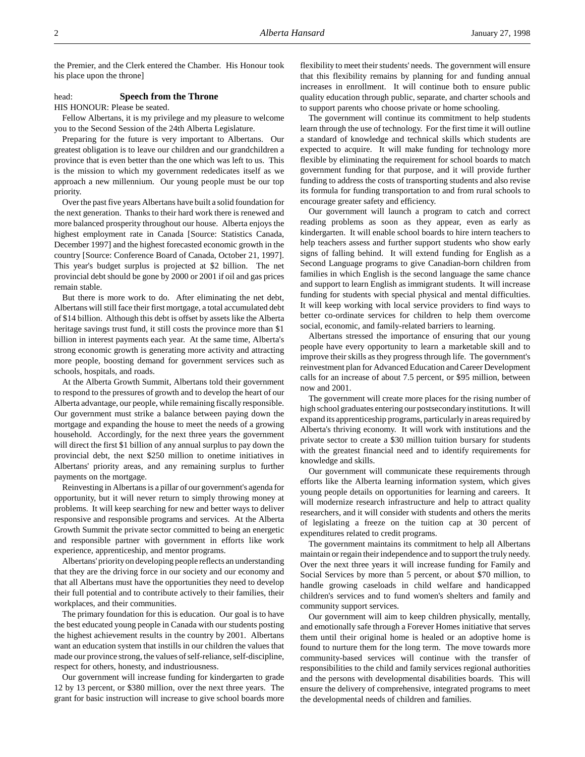the Premier, and the Clerk entered the Chamber. His Honour took his place upon the throne]

## head: **Speech from the Throne**

HIS HONOUR: Please be seated.

Fellow Albertans, it is my privilege and my pleasure to welcome you to the Second Session of the 24th Alberta Legislature.

Preparing for the future is very important to Albertans. Our greatest obligation is to leave our children and our grandchildren a province that is even better than the one which was left to us. This is the mission to which my government rededicates itself as we approach a new millennium. Our young people must be our top priority.

Over the past five years Albertans have built a solid foundation for the next generation. Thanks to their hard work there is renewed and more balanced prosperity throughout our house. Alberta enjoys the highest employment rate in Canada [Source: Statistics Canada, December 1997] and the highest forecasted economic growth in the country [Source: Conference Board of Canada, October 21, 1997]. This year's budget surplus is projected at \$2 billion. The net provincial debt should be gone by 2000 or 2001 if oil and gas prices remain stable.

But there is more work to do. After eliminating the net debt, Albertans will still face their first mortgage, a total accumulated debt of \$14 billion. Although this debt is offset by assets like the Alberta heritage savings trust fund, it still costs the province more than \$1 billion in interest payments each year. At the same time, Alberta's strong economic growth is generating more activity and attracting more people, boosting demand for government services such as schools, hospitals, and roads.

At the Alberta Growth Summit, Albertans told their government to respond to the pressures of growth and to develop the heart of our Alberta advantage, our people, while remaining fiscally responsible. Our government must strike a balance between paying down the mortgage and expanding the house to meet the needs of a growing household. Accordingly, for the next three years the government will direct the first \$1 billion of any annual surplus to pay down the provincial debt, the next \$250 million to onetime initiatives in Albertans' priority areas, and any remaining surplus to further payments on the mortgage.

Reinvesting in Albertans is a pillar of our government's agenda for opportunity, but it will never return to simply throwing money at problems. It will keep searching for new and better ways to deliver responsive and responsible programs and services. At the Alberta Growth Summit the private sector committed to being an energetic and responsible partner with government in efforts like work experience, apprenticeship, and mentor programs.

Albertans' priority on developing people reflects an understanding that they are the driving force in our society and our economy and that all Albertans must have the opportunities they need to develop their full potential and to contribute actively to their families, their workplaces, and their communities.

The primary foundation for this is education. Our goal is to have the best educated young people in Canada with our students posting the highest achievement results in the country by 2001. Albertans want an education system that instills in our children the values that made our province strong, the values of self-reliance, self-discipline, respect for others, honesty, and industriousness.

Our government will increase funding for kindergarten to grade 12 by 13 percent, or \$380 million, over the next three years. The grant for basic instruction will increase to give school boards more

flexibility to meet their students' needs. The government will ensure that this flexibility remains by planning for and funding annual increases in enrollment. It will continue both to ensure public quality education through public, separate, and charter schools and to support parents who choose private or home schooling.

The government will continue its commitment to help students learn through the use of technology. For the first time it will outline a standard of knowledge and technical skills which students are expected to acquire. It will make funding for technology more flexible by eliminating the requirement for school boards to match government funding for that purpose, and it will provide further funding to address the costs of transporting students and also revise its formula for funding transportation to and from rural schools to encourage greater safety and efficiency.

Our government will launch a program to catch and correct reading problems as soon as they appear, even as early as kindergarten. It will enable school boards to hire intern teachers to help teachers assess and further support students who show early signs of falling behind. It will extend funding for English as a Second Language programs to give Canadian-born children from families in which English is the second language the same chance and support to learn English as immigrant students. It will increase funding for students with special physical and mental difficulties. It will keep working with local service providers to find ways to better co-ordinate services for children to help them overcome social, economic, and family-related barriers to learning.

Albertans stressed the importance of ensuring that our young people have every opportunity to learn a marketable skill and to improve their skills as they progress through life. The government's reinvestment plan for Advanced Education and Career Development calls for an increase of about 7.5 percent, or \$95 million, between now and 2001.

The government will create more places for the rising number of high school graduates entering our postsecondary institutions. It will expand its apprenticeship programs, particularly in areas required by Alberta's thriving economy. It will work with institutions and the private sector to create a \$30 million tuition bursary for students with the greatest financial need and to identify requirements for knowledge and skills.

Our government will communicate these requirements through efforts like the Alberta learning information system, which gives young people details on opportunities for learning and careers. It will modernize research infrastructure and help to attract quality researchers, and it will consider with students and others the merits of legislating a freeze on the tuition cap at 30 percent of expenditures related to credit programs.

The government maintains its commitment to help all Albertans maintain or regain their independence and to support the truly needy. Over the next three years it will increase funding for Family and Social Services by more than 5 percent, or about \$70 million, to handle growing caseloads in child welfare and handicapped children's services and to fund women's shelters and family and community support services.

Our government will aim to keep children physically, mentally, and emotionally safe through a Forever Homes initiative that serves them until their original home is healed or an adoptive home is found to nurture them for the long term. The move towards more community-based services will continue with the transfer of responsibilities to the child and family services regional authorities and the persons with developmental disabilities boards. This will ensure the delivery of comprehensive, integrated programs to meet the developmental needs of children and families.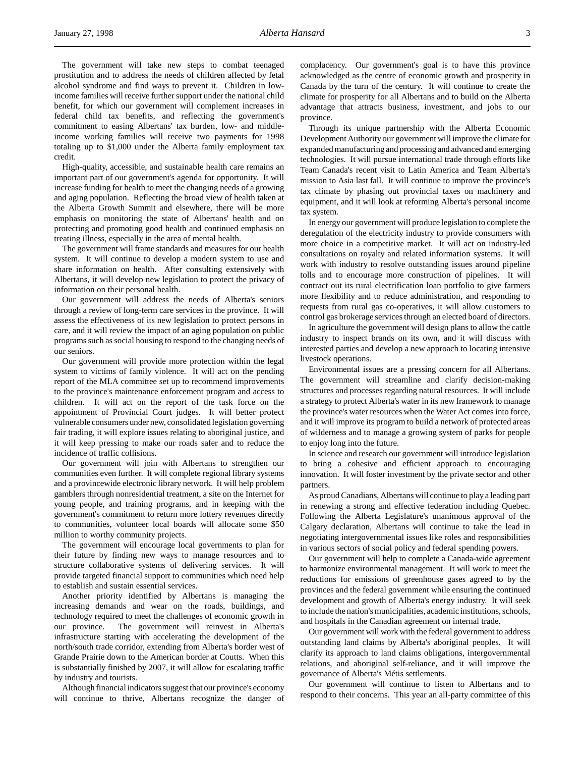The government will take new steps to combat teenaged prostitution and to address the needs of children affected by fetal alcohol syndrome and find ways to prevent it. Children in lowincome families will receive further support under the national child benefit, for which our government will complement increases in federal child tax benefits, and reflecting the government's commitment to easing Albertans' tax burden, low- and middleincome working families will receive two payments for 1998 totaling up to \$1,000 under the Alberta family employment tax credit.

High-quality, accessible, and sustainable health care remains an important part of our government's agenda for opportunity. It will increase funding for health to meet the changing needs of a growing and aging population. Reflecting the broad view of health taken at the Alberta Growth Summit and elsewhere, there will be more emphasis on monitoring the state of Albertans' health and on protecting and promoting good health and continued emphasis on treating illness, especially in the area of mental health.

The government will frame standards and measures for our health system. It will continue to develop a modern system to use and share information on health. After consulting extensively with Albertans, it will develop new legislation to protect the privacy of information on their personal health.

Our government will address the needs of Alberta's seniors through a review of long-term care services in the province. It will assess the effectiveness of its new legislation to protect persons in care, and it will review the impact of an aging population on public programs such as social housing to respond to the changing needs of our seniors.

Our government will provide more protection within the legal system to victims of family violence. It will act on the pending report of the MLA committee set up to recommend improvements to the province's maintenance enforcement program and access to children. It will act on the report of the task force on the appointment of Provincial Court judges. It will better protect vulnerable consumers under new, consolidated legislation governing fair trading, it will explore issues relating to aboriginal justice, and it will keep pressing to make our roads safer and to reduce the incidence of traffic collisions.

Our government will join with Albertans to strengthen our communities even further. It will complete regional library systems and a provincewide electronic library network. It will help problem gamblers through nonresidential treatment, a site on the Internet for young people, and training programs, and in keeping with the government's commitment to return more lottery revenues directly to communities, volunteer local boards will allocate some \$50 million to worthy community projects.

The government will encourage local governments to plan for their future by finding new ways to manage resources and to structure collaborative systems of delivering services. It will provide targeted financial support to communities which need help to establish and sustain essential services.

Another priority identified by Albertans is managing the increasing demands and wear on the roads, buildings, and technology required to meet the challenges of economic growth in our province. The government will reinvest in Alberta's infrastructure starting with accelerating the development of the north/south trade corridor, extending from Alberta's border west of Grande Prairie down to the American border at Coutts. When this is substantially finished by 2007, it will allow for escalating traffic by industry and tourists.

Although financial indicators suggest that our province's economy will continue to thrive, Albertans recognize the danger of complacency. Our government's goal is to have this province acknowledged as the centre of economic growth and prosperity in Canada by the turn of the century. It will continue to create the climate for prosperity for all Albertans and to build on the Alberta advantage that attracts business, investment, and jobs to our province.

Through its unique partnership with the Alberta Economic Development Authority our government will improve the climate for expanded manufacturing and processing and advanced and emerging technologies. It will pursue international trade through efforts like Team Canada's recent visit to Latin America and Team Alberta's mission to Asia last fall. It will continue to improve the province's tax climate by phasing out provincial taxes on machinery and equipment, and it will look at reforming Alberta's personal income tax system.

In energy our government will produce legislation to complete the deregulation of the electricity industry to provide consumers with more choice in a competitive market. It will act on industry-led consultations on royalty and related information systems. It will work with industry to resolve outstanding issues around pipeline tolls and to encourage more construction of pipelines. It will contract out its rural electrification loan portfolio to give farmers more flexibility and to reduce administration, and responding to requests from rural gas co-operatives, it will allow customers to control gas brokerage services through an elected board of directors.

In agriculture the government will design plans to allow the cattle industry to inspect brands on its own, and it will discuss with interested parties and develop a new approach to locating intensive livestock operations.

Environmental issues are a pressing concern for all Albertans. The government will streamline and clarify decision-making structures and processes regarding natural resources. It will include a strategy to protect Alberta's water in its new framework to manage the province's water resources when the Water Act comes into force, and it will improve its program to build a network of protected areas of wilderness and to manage a growing system of parks for people to enjoy long into the future.

In science and research our government will introduce legislation to bring a cohesive and efficient approach to encouraging innovation. It will foster investment by the private sector and other partners.

As proud Canadians, Albertans will continue to play a leading part in renewing a strong and effective federation including Quebec. Following the Alberta Legislature's unanimous approval of the Calgary declaration, Albertans will continue to take the lead in negotiating intergovernmental issues like roles and responsibilities in various sectors of social policy and federal spending powers.

Our government will help to complete a Canada-wide agreement to harmonize environmental management. It will work to meet the reductions for emissions of greenhouse gases agreed to by the provinces and the federal government while ensuring the continued development and growth of Alberta's energy industry. It will seek to include the nation's municipalities, academic institutions, schools, and hospitals in the Canadian agreement on internal trade.

Our government will work with the federal government to address outstanding land claims by Alberta's aboriginal peoples. It will clarify its approach to land claims obligations, intergovernmental relations, and aboriginal self-reliance, and it will improve the governance of Alberta's Métis settlements.

Our government will continue to listen to Albertans and to respond to their concerns. This year an all-party committee of this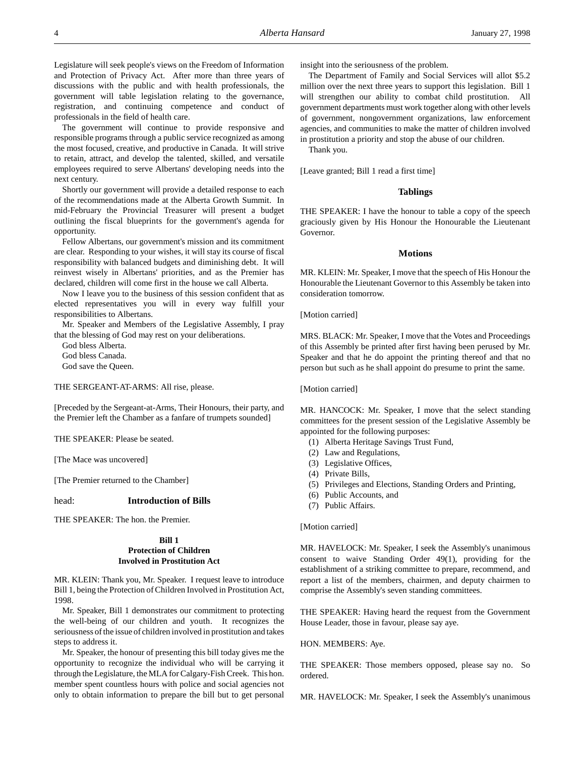Legislature will seek people's views on the Freedom of Information and Protection of Privacy Act. After more than three years of discussions with the public and with health professionals, the government will table legislation relating to the governance, registration, and continuing competence and conduct of professionals in the field of health care.

The government will continue to provide responsive and responsible programs through a public service recognized as among the most focused, creative, and productive in Canada. It will strive to retain, attract, and develop the talented, skilled, and versatile employees required to serve Albertans' developing needs into the next century.

Shortly our government will provide a detailed response to each of the recommendations made at the Alberta Growth Summit. In mid-February the Provincial Treasurer will present a budget outlining the fiscal blueprints for the government's agenda for opportunity.

Fellow Albertans, our government's mission and its commitment are clear. Responding to your wishes, it will stay its course of fiscal responsibility with balanced budgets and diminishing debt. It will reinvest wisely in Albertans' priorities, and as the Premier has declared, children will come first in the house we call Alberta.

Now I leave you to the business of this session confident that as elected representatives you will in every way fulfill your responsibilities to Albertans.

Mr. Speaker and Members of the Legislative Assembly, I pray that the blessing of God may rest on your deliberations.

God bless Alberta. God bless Canada. God save the Queen.

THE SERGEANT-AT-ARMS: All rise, please.

[Preceded by the Sergeant-at-Arms, Their Honours, their party, and the Premier left the Chamber as a fanfare of trumpets sounded]

THE SPEAKER: Please be seated.

[The Mace was uncovered]

[The Premier returned to the Chamber]

#### head: **Introduction of Bills**

THE SPEAKER: The hon. the Premier.

# **Bill 1 Protection of Children Involved in Prostitution Act**

MR. KLEIN: Thank you, Mr. Speaker. I request leave to introduce Bill 1, being the Protection of Children Involved in Prostitution Act, 1998.

Mr. Speaker, Bill 1 demonstrates our commitment to protecting the well-being of our children and youth. It recognizes the seriousness of the issue of children involved in prostitution and takes steps to address it.

Mr. Speaker, the honour of presenting this bill today gives me the opportunity to recognize the individual who will be carrying it through the Legislature, the MLA for Calgary-Fish Creek. This hon. member spent countless hours with police and social agencies not only to obtain information to prepare the bill but to get personal insight into the seriousness of the problem.

The Department of Family and Social Services will allot \$5.2 million over the next three years to support this legislation. Bill 1 will strengthen our ability to combat child prostitution. All government departments must work together along with other levels of government, nongovernment organizations, law enforcement agencies, and communities to make the matter of children involved in prostitution a priority and stop the abuse of our children.

Thank you.

[Leave granted; Bill 1 read a first time]

# **Tablings**

THE SPEAKER: I have the honour to table a copy of the speech graciously given by His Honour the Honourable the Lieutenant Governor.

# **Motions**

MR. KLEIN: Mr. Speaker, I move that the speech of His Honour the Honourable the Lieutenant Governor to this Assembly be taken into consideration tomorrow.

[Motion carried]

MRS. BLACK: Mr. Speaker, I move that the Votes and Proceedings of this Assembly be printed after first having been perused by Mr. Speaker and that he do appoint the printing thereof and that no person but such as he shall appoint do presume to print the same.

### [Motion carried]

MR. HANCOCK: Mr. Speaker, I move that the select standing committees for the present session of the Legislative Assembly be appointed for the following purposes:

- (1) Alberta Heritage Savings Trust Fund,
- (2) Law and Regulations,
- (3) Legislative Offices,
- (4) Private Bills,
- (5) Privileges and Elections, Standing Orders and Printing,
- (6) Public Accounts, and
- (7) Public Affairs.

[Motion carried]

MR. HAVELOCK: Mr. Speaker, I seek the Assembly's unanimous consent to waive Standing Order 49(1), providing for the establishment of a striking committee to prepare, recommend, and report a list of the members, chairmen, and deputy chairmen to comprise the Assembly's seven standing committees.

THE SPEAKER: Having heard the request from the Government House Leader, those in favour, please say aye.

#### HON. MEMBERS: Aye.

THE SPEAKER: Those members opposed, please say no. So ordered.

MR. HAVELOCK: Mr. Speaker, I seek the Assembly's unanimous